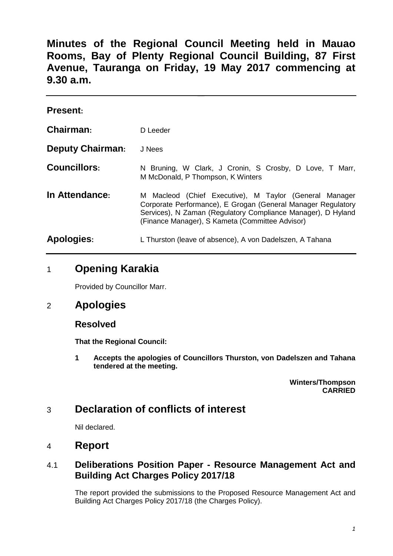**Minutes of the Regional Council Meeting held in Mauao Rooms, Bay of Plenty Regional Council Building, 87 First Avenue, Tauranga on Friday, 19 May 2017 commencing at 9.30 a.m.**

| <b>Present:</b>         |                                                                                                                                                                                                                                           |
|-------------------------|-------------------------------------------------------------------------------------------------------------------------------------------------------------------------------------------------------------------------------------------|
| Chairman:               | D Leeder                                                                                                                                                                                                                                  |
| <b>Deputy Chairman:</b> | J Nees                                                                                                                                                                                                                                    |
| <b>Councillors:</b>     | N Bruning, W Clark, J Cronin, S Crosby, D Love, T Marr,<br>M McDonald, P Thompson, K Winters                                                                                                                                              |
| In Attendance:          | M Macleod (Chief Executive), M Taylor (General Manager<br>Corporate Performance), E Grogan (General Manager Regulatory<br>Services), N Zaman (Regulatory Compliance Manager), D Hyland<br>(Finance Manager), S Kameta (Committee Advisor) |
| <b>Apologies:</b>       | L Thurston (leave of absence), A von Dadelszen, A Tahana                                                                                                                                                                                  |

# 1 **Opening Karakia**

Provided by Councillor Marr.

## 2 **Apologies**

### **Resolved**

**That the Regional Council:**

**1 Accepts the apologies of Councillors Thurston, von Dadelszen and Tahana tendered at the meeting.**

> **Winters/Thompson CARRIED**

# 3 **Declaration of conflicts of interest**

Nil declared.

## 4 **Report**

#### 4.1 **Deliberations Position Paper - Resource Management Act and Building Act Charges Policy 2017/18**

The report provided the submissions to the Proposed Resource Management Act and Building Act Charges Policy 2017/18 (the Charges Policy).